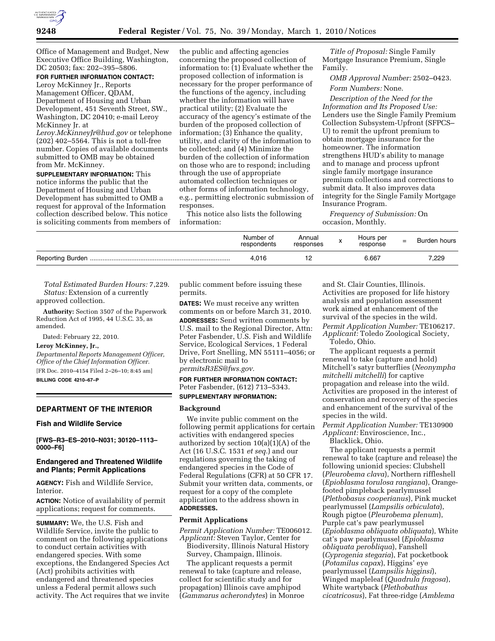

Office of Management and Budget, New Executive Office Building, Washington, DC 20503; fax: 202–395–5806.

## **FOR FURTHER INFORMATION CONTACT:**

Leroy McKinney Jr., Reports Management Officer, QDAM, Department of Housing and Urban Development, 451 Seventh Street, SW., Washington, DC 20410; e-mail Leroy McKinney Jr. at

*Leroy.McKinneyJr@hud.gov* or telephone (202) 402–5564. This is not a toll-free number. Copies of available documents submitted to OMB may be obtained from Mr. McKinney.

**SUPPLEMENTARY INFORMATION:** This notice informs the public that the Department of Housing and Urban Development has submitted to OMB a request for approval of the Information collection described below. This notice is soliciting comments from members of

the public and affecting agencies concerning the proposed collection of information to: (1) Evaluate whether the proposed collection of information is necessary for the proper performance of the functions of the agency, including whether the information will have practical utility; (2) Evaluate the accuracy of the agency's estimate of the burden of the proposed collection of information; (3) Enhance the quality, utility, and clarity of the information to be collected; and (4) Minimize the burden of the collection of information on those who are to respond; including through the use of appropriate automated collection techniques or other forms of information technology, e.g., permitting electronic submission of responses.

This notice also lists the following information:

*Title of Proposal:* Single Family Mortgage Insurance Premium, Single Family.

*OMB Approval Number:* 2502–0423. *Form Numbers:* None.

*Description of the Need for the Information and Its Proposed Use:*  Lenders use the Single Family Premium Collection Subsystem-Upfront (SFPCS– U) to remit the upfront premium to obtain mortgage insurance for the homeowner. The information strengthens HUD's ability to manage and to manage and process upfront single family mortgage insurance premium collections and corrections to submit data. It also improves data integrity for the Single Family Mortgage Insurance Program.

*Frequency of Submission:* On occasion, Monthly.

| Number of<br>respondents | Annual<br>responses | $\overline{ }$ | Hours per<br>response | $=$ | Burden hours |
|--------------------------|---------------------|----------------|-----------------------|-----|--------------|
| 4.016                    |                     |                | 6.667                 |     | 7.229        |

*Total Estimated Burden Hours:* 7,229. *Status:* Extension of a currently approved collection.

**Authority:** Section 3507 of the Paperwork Reduction Act of 1995, 44 U.S.C. 35, as amended.

Dated: February 22, 2010.

#### **Leroy McKinney, Jr.,**

*Departmental Reports Management Officer, Office of the Chief Information Officer.*  [FR Doc. 2010–4154 Filed 2–26–10; 8:45 am] **BILLING CODE 4210–67–P** 

#### **DEPARTMENT OF THE INTERIOR**

## **Fish and Wildlife Service**

**[FWS–R3–ES–2010–N031; 30120–1113– 0000–F6]** 

## **Endangered and Threatened Wildlife and Plants; Permit Applications**

**AGENCY:** Fish and Wildlife Service, Interior.

**ACTION:** Notice of availability of permit applications; request for comments.

**SUMMARY:** We, the U.S. Fish and Wildlife Service, invite the public to comment on the following applications to conduct certain activities with endangered species. With some exceptions, the Endangered Species Act (Act) prohibits activities with endangered and threatened species unless a Federal permit allows such activity. The Act requires that we invite public comment before issuing these permits.

**DATES:** We must receive any written comments on or before March 31, 2010. **ADDRESSES:** Send written comments by U.S. mail to the Regional Director, Attn: Peter Fasbender, U.S. Fish and Wildlife Service, Ecological Services, 1 Federal Drive, Fort Snelling, MN 55111–4056; or by electronic mail to *permitsR3ES@fws.gov.* 

## **FOR FURTHER INFORMATION CONTACT:**  Peter Fasbender, (612) 713–5343. **SUPPLEMENTARY INFORMATION:**

## **Background**

We invite public comment on the following permit applications for certain activities with endangered species authorized by section 10(a)(1)(A) of the Act (16 U.S.C. 1531 *et seq.*) and our regulations governing the taking of endangered species in the Code of Federal Regulations (CFR) at 50 CFR 17. Submit your written data, comments, or request for a copy of the complete application to the address shown in **ADDRESSES.** 

#### **Permit Applications**

*Permit Application Number:* TE006012. *Applicant:* Steven Taylor, Center for Biodiversity, Illinois Natural History Survey, Champaign, Illinois.

The applicant requests a permit renewal to take (capture and release, collect for scientific study and for propagation) Illinois cave amphipod (*Gammarus acherondytes*) in Monroe and St. Clair Counties, Illinois. Activities are proposed for life history analysis and population assessment work aimed at enhancement of the survival of the species in the wild. *Permit Application Number:* TE106217. *Applicant:* Toledo Zoological Society, Toledo, Ohio.

The applicant requests a permit renewal to take (capture and hold) Mitchell's satyr butterflies (*Neonympha mitchelli mitchelli*) for captive propagation and release into the wild. Activities are proposed in the interest of conservation and recovery of the species and enhancement of the survival of the species in the wild.

*Permit Application Number:* TE130900 *Applicant:* Enviroscience, Inc.,

Blacklick, Ohio.

The applicant requests a permit renewal to take (capture and release) the following unionid species: Clubshell (*Pleurobema clava*), Northern riffleshell (*Epioblasma torulosa rangiana*), Orangefooted pimpleback pearlymussel (*Plethobasus cooperianus*), Pink mucket pearlymussel (*Lampsilis orbiculata*), Rough pigtoe (*Pleurobema plenum*), Purple cat's paw pearlymussel (*Epioblasma obliquata obliquata*), White cat's paw pearlymussel (*Epioblasma obliquata perobliqua*), Fanshell (*Cyprogenia stegaria*), Fat pocketbook (*Potamilus capax*), Higgins' eye pearlymussel (*Lampsilis higginsi*), Winged mapleleaf (*Quadrula fragosa*), White wartyback (*Plethobathus cicatricosus*), Fat three-ridge (*Amblema*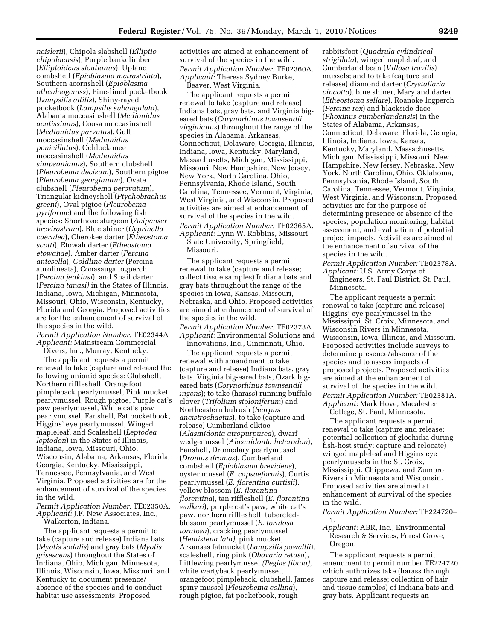*neislerii*), Chipola slabshell (*Elliptio chipolaensis*), Purple bankclimber (*Elliptoideus sloatianus*), Upland combshell (*Epioblasma metrastriata*), Southern acornshell (*Epioblasma othcaloogeniss*), Fine-lined pocketbook (*Lampsilis altilis*), Shiny-rayed pocketbook (*Lampsilis subangulata*), Alabama moccasinshell (*Medionidus acutissimus*), Coosa moccasinshell (*Medionidus parvulus*), Gulf moccasinshell (*Medionidus penicillatus*), Ochlockonee moccasinshell (*Medionidus simpsonianus*), Southern clubshell (*Pleurobema decisum*), Southern pigtoe (*Pleurobema georgianum*), Ovate clubshell (*Pleurobema perovatum*), Triangular kidneyshell (*Ptychobrachus greeni*), Oval pigtoe (*Pleurobema pyriforme*) and the following fish species: Shortnose sturgeon (*Acipenser brevirostrum*), Blue shiner (*Cyprinella caerulea*), Cherokee darter (*Etheostoma scotti*), Etowah darter (*Etheostoma etowahae*), Amber darter (*Percina antesella*), *Goldline darter* (Percina aurolineata), Conasauga logperch (*Percina jenkinsi*), and Snail darter (*Percina tanasi)* in the States of Illinois, Indiana, Iowa, Michigan, Minnesota, Missouri, Ohio, Wisconsin, Kentucky, Florida and Georgia. Proposed activities are for the enhancement of survival of the species in the wild. *Permit Application Number:* TE02344A *Applicant:* Mainstream Commercial

Divers, Inc., Murray, Kentucky.

The applicant requests a permit renewal to take (capture and release) the following unionid species: Clubshell, Northern riffleshell, Orangefoot pimpleback pearlymussel, Pink mucket pearlymussel, Rough pigtoe, Purple cat's paw pearlymussel, White cat's paw pearlymussel, Fanshell, Fat pocketbook, Higgins' eye pearlymussel, Winged mapleleaf, and Scaleshell (*Leptodea leptodon*) in the States of Illinois, Indiana, Iowa, Missouri, Ohio, Wisconsin, Alabama, Arkansas, Florida, Georgia, Kentucky, Mississippi, Tennessee, Pennsylvania, and West Virginia. Proposed activities are for the enhancement of survival of the species in the wild.

*Permit Application Number:* TE02350A. *Applicant:* J.F. New Associates, Inc., Walkerton, Indiana.

The applicant requests a permit to take (capture and release) Indiana bats (*Myotis sodalis*) and gray bats (*Myotis grisescens*) throughout the States of Indiana, Ohio, Michigan, Minnesota, Illinois, Wisconsin, Iowa, Missouri, and Kentucky to document presence/ absence of the species and to conduct habitat use assessments. Proposed

activities are aimed at enhancement of survival of the species in the wild. *Permit Application Number:* TE02360A. *Applicant:* Theresa Sydney Burke, Beaver, West Virginia.

The applicant requests a permit renewal to take (capture and release) Indiana bats, gray bats, and Virginia bigeared bats (*Corynorhinus townsendii virginianus*) throughout the range of the species in Alabama, Arkansas, Connecticut, Delaware, Georgia, Illinois, Indiana, Iowa, Kentucky, Maryland, Massachusetts, Michigan, Mississippi, Missouri, New Hampshire, New Jersey, New York, North Carolina, Ohio, Pennsylvania, Rhode Island, South Carolina, Tennessee, Vermont, Virginia, West Virginia, and Wisconsin. Proposed activities are aimed at enhancement of survival of the species in the wild. *Permit Application Number:* TE02365A. *Applicant:* Lynn W. Robbins, Missouri State University, Springfield, Missouri.

The applicant requests a permit renewal to take (capture and release; collect tissue samples) Indiana bats and gray bats throughout the range of the species in Iowa, Kansas, Missouri, Nebraska, and Ohio. Proposed activities are aimed at enhancement of survival of the species in the wild.

*Permit Application Number:* TE02373A *Applicant:* Environmental Solutions and Innovations, Inc., Cincinnati, Ohio.

The applicant requests a permit renewal with amendment to take (capture and release) Indiana bats, gray bats, Virginia big-eared bats, Ozark bigeared bats (*Corynorhinus townsendii ingens*); to take (harass) running buffalo clover (*Trifolium stoloniferum*) and Northeastern bulrush (*Scirpus ancistrochaetus*), to take (capture and release) Cumberland elktoe (*Alasmidonta atropurpurea*), dwarf wedgemussel (*Alasmidonta heterodon*), Fanshell, Dromedary pearlymussel (*Dromus dromas*), Cumberland combshell (*Epioblasma brevidens*), oyster mussel (*E. capsaeformis*), Curtis pearlymussel (*E. florentina curtisii*), yellow blossom (*E. florentina florentina*), tan riffleshell (*E. florentina walkeri*), purple cat's paw, white cat's paw, northern riffleshell, tubercledblossom pearlymussel (*E. torulosa torulosa*), cracking pearlymussel (*Hemistena lata),* pink mucket, Arkansas fatmucket (*Lampsilis powellii*), scaleshell, ring pink (*Obovaria retusa*), Littlewing pearlymussel *(Pegias fibula),*  white wartyback pearlymussel, orangefoot pimpleback, clubshell, James spiny mussel (*Pleurobema collina*), rough pigtoe, fat pocketbook, rough

rabbitsfoot (*Quadrula cylindrical strigillata*), winged mapleleaf, and Cumberland bean (*Villosa travilis*) mussels; and to take (capture and release) diamond darter (*Crystallaria cincotta*), blue shiner, Maryland darter (*Etheostoma sellare*), Roanoke logperch (*Percina rex*) and blackside dace (*Phoxinus cumberlandensis*) in the States of Alabama, Arkansas, Connecticut, Delaware, Florida, Georgia, Illinois, Indiana, Iowa, Kansas, Kentucky, Maryland, Massachusetts, Michigan, Mississippi, Missouri, New Hampshire, New Jersey, Nebraska, New York, North Carolina, Ohio, Oklahoma, Pennsylvania, Rhode Island, South Carolina, Tennessee, Vermont, Virginia, West Virginia, and Wisconsin. Proposed activities are for the purpose of determining presence or absence of the species, population monitoring, habitat assessment, and evaluation of potential project impacts. Activities are aimed at the enhancement of survival of the species in the wild.

*Permit Application Number:* TE02378A.

*Applicant:* U.S. Army Corps of Engineers, St. Paul District, St. Paul, Minnesota.

The applicant requests a permit renewal to take (capture and release) Higgins' eye pearlymussel in the Mississippi, St. Croix, Minnesota, and Wisconsin Rivers in Minnesota, Wisconsin, Iowa, Illinois, and Missouri. Proposed activities include surveys to determine presence/absence of the species and to assess impacts of proposed projects. Proposed activities are aimed at the enhancement of survival of the species in the wild. *Permit Application Number:* TE02381A. *Applicant:* Mark Hove, Macalester

College, St. Paul, Minnesota.

The applicant requests a permit renewal to take (capture and release; potential collection of glochidia during fish-host study; capture and relocate) winged mapleleaf and Higgins eye pearlymussels in the St. Croix, Mississippi, Chippewa, and Zumbro Rivers in Minnesota and Wisconsin. Proposed activities are aimed at enhancement of survival of the species in the wild.

*Permit Application Number:* TE224720– 1.

## *Applicant:* ABR, Inc., Environmental Research & Services, Forest Grove, Oregon.

The applicant requests a permit amendment to permit number TE224720 which authorizes take (harass through capture and release; collection of hair and tissue samples) of Indiana bats and gray bats. Applicant requests an